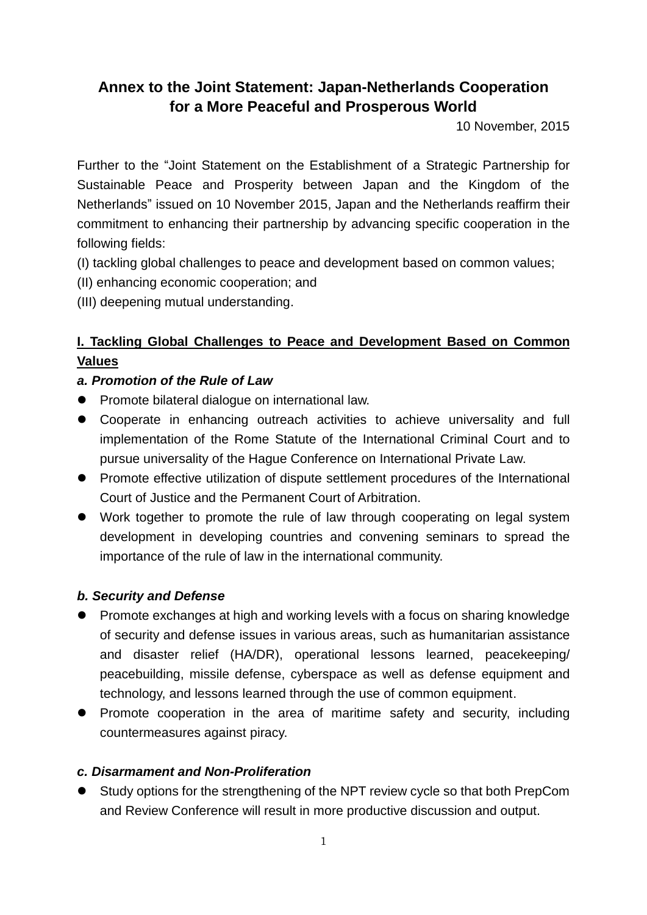# **Annex to the Joint Statement: Japan-Netherlands Cooperation for a More Peaceful and Prosperous World**

10 November, 2015

Further to the "Joint Statement on the Establishment of a Strategic Partnership for Sustainable Peace and Prosperity between Japan and the Kingdom of the Netherlands" issued on 10 November 2015, Japan and the Netherlands reaffirm their commitment to enhancing their partnership by advancing specific cooperation in the following fields:

(I) tackling global challenges to peace and development based on common values;

- (II) enhancing economic cooperation; and
- (III) deepening mutual understanding.

# **I. Tackling Global Challenges to Peace and Development Based on Common Values**

# *a. Promotion of the Rule of Law*

- **•** Promote bilateral dialogue on international law.
- Cooperate in enhancing outreach activities to achieve universality and full implementation of the Rome Statute of the International Criminal Court and to pursue universality of the Hague Conference on International Private Law.
- Promote effective utilization of dispute settlement procedures of the International Court of Justice and the Permanent Court of Arbitration.
- Work together to promote the rule of law through cooperating on legal system development in developing countries and convening seminars to spread the importance of the rule of law in the international community.

# *b. Security and Defense*

- Promote exchanges at high and working levels with a focus on sharing knowledge of security and defense issues in various areas, such as humanitarian assistance and disaster relief (HA/DR), operational lessons learned, peacekeeping/ peacebuilding, missile defense, cyberspace as well as defense equipment and technology, and lessons learned through the use of common equipment.
- Promote cooperation in the area of maritime safety and security, including countermeasures against piracy.

# *c. Disarmament and Non-Proliferation*

 Study options for the strengthening of the NPT review cycle so that both PrepCom and Review Conference will result in more productive discussion and output.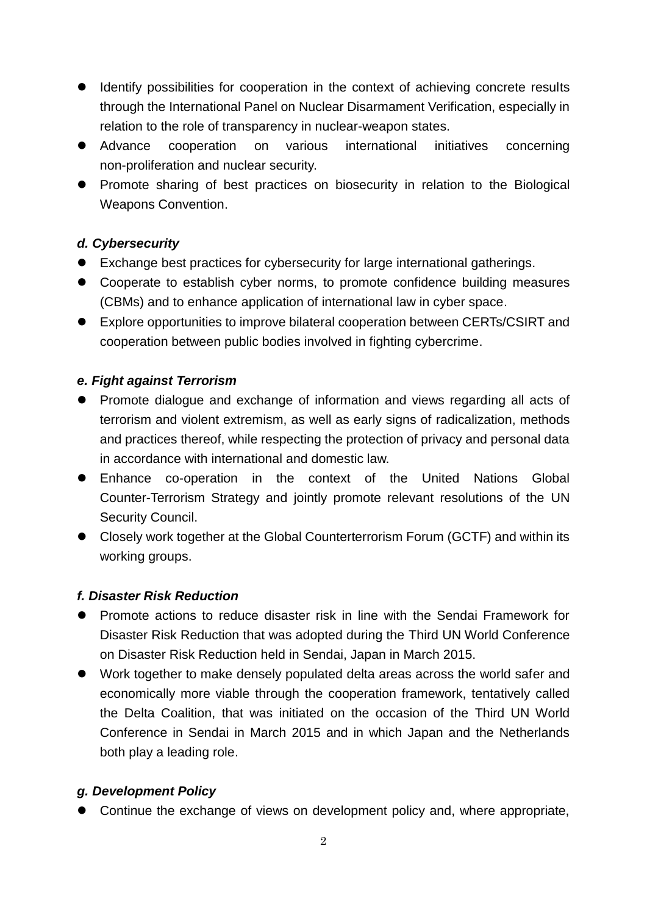- Identify possibilities for cooperation in the context of achieving concrete results through the International Panel on Nuclear Disarmament Verification, especially in relation to the role of transparency in nuclear-weapon states.
- Advance cooperation on various international initiatives concerning non-proliferation and nuclear security.
- Promote sharing of best practices on biosecurity in relation to the Biological Weapons Convention.

# *d. Cybersecurity*

- Exchange best practices for cybersecurity for large international gatherings.
- Cooperate to establish cyber norms, to promote confidence building measures (CBMs) and to enhance application of international law in cyber space.
- Explore opportunities to improve bilateral cooperation between CERTs/CSIRT and cooperation between public bodies involved in fighting cybercrime.

# *e. Fight against Terrorism*

- Promote dialogue and exchange of information and views regarding all acts of terrorism and violent extremism, as well as early signs of radicalization, methods and practices thereof, while respecting the protection of privacy and personal data in accordance with international and domestic law.
- Enhance co-operation in the context of the United Nations Global Counter-Terrorism Strategy and jointly promote relevant resolutions of the UN Security Council.
- Closely work together at the Global Counterterrorism Forum (GCTF) and within its working groups.

# *f. Disaster Risk Reduction*

- Promote actions to reduce disaster risk in line with the Sendai Framework for Disaster Risk Reduction that was adopted during the Third UN World Conference on Disaster Risk Reduction held in Sendai, Japan in March 2015.
- Work together to make densely populated delta areas across the world safer and economically more viable through the cooperation framework, tentatively called the Delta Coalition, that was initiated on the occasion of the Third UN World Conference in Sendai in March 2015 and in which Japan and the Netherlands both play a leading role.

# *g. Development Policy*

Continue the exchange of views on development policy and, where appropriate,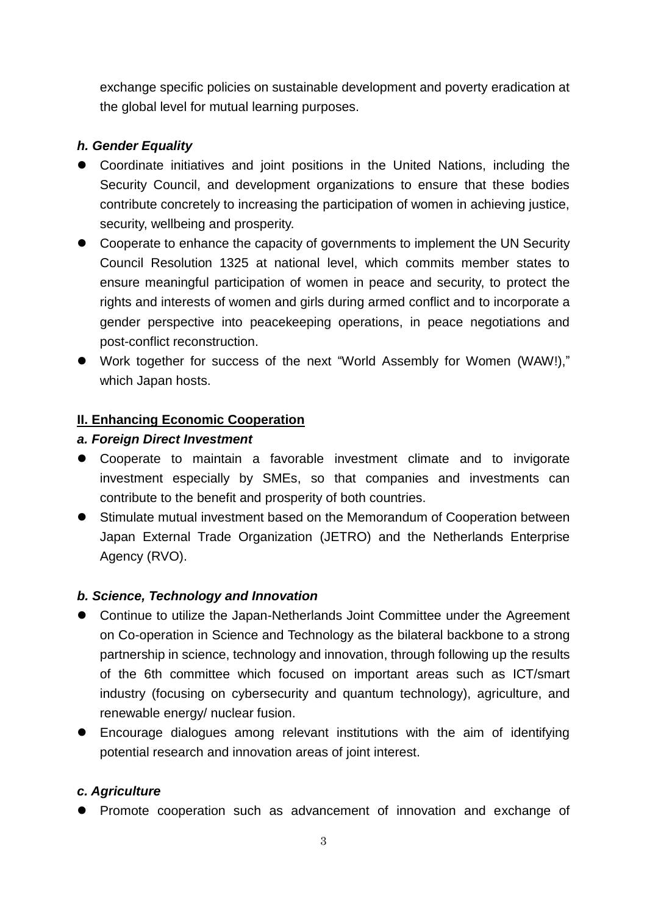exchange specific policies on sustainable development and poverty eradication at the global level for mutual learning purposes.

### *h. Gender Equality*

- Coordinate initiatives and joint positions in the United Nations, including the Security Council, and development organizations to ensure that these bodies contribute concretely to increasing the participation of women in achieving justice, security, wellbeing and prosperity.
- Cooperate to enhance the capacity of governments to implement the UN Security Council Resolution 1325 at national level, which commits member states to ensure meaningful participation of women in peace and security, to protect the rights and interests of women and girls during armed conflict and to incorporate a gender perspective into peacekeeping operations, in peace negotiations and post-conflict reconstruction.
- Work together for success of the next "World Assembly for Women (WAW!)," which Japan hosts.

#### **II. Enhancing Economic Cooperation**

#### *a. Foreign Direct Investment*

- Cooperate to maintain a favorable investment climate and to invigorate investment especially by SMEs, so that companies and investments can contribute to the benefit and prosperity of both countries.
- Stimulate mutual investment based on the Memorandum of Cooperation between Japan External Trade Organization (JETRO) and the Netherlands Enterprise Agency (RVO).

#### *b. Science, Technology and Innovation*

- Continue to utilize the Japan-Netherlands Joint Committee under the Agreement on Co-operation in Science and Technology as the bilateral backbone to a strong partnership in science, technology and innovation, through following up the results of the 6th committee which focused on important areas such as ICT/smart industry (focusing on cybersecurity and quantum technology), agriculture, and renewable energy/ nuclear fusion.
- Encourage dialogues among relevant institutions with the aim of identifying potential research and innovation areas of joint interest.

#### *c. Agriculture*

Promote cooperation such as advancement of innovation and exchange of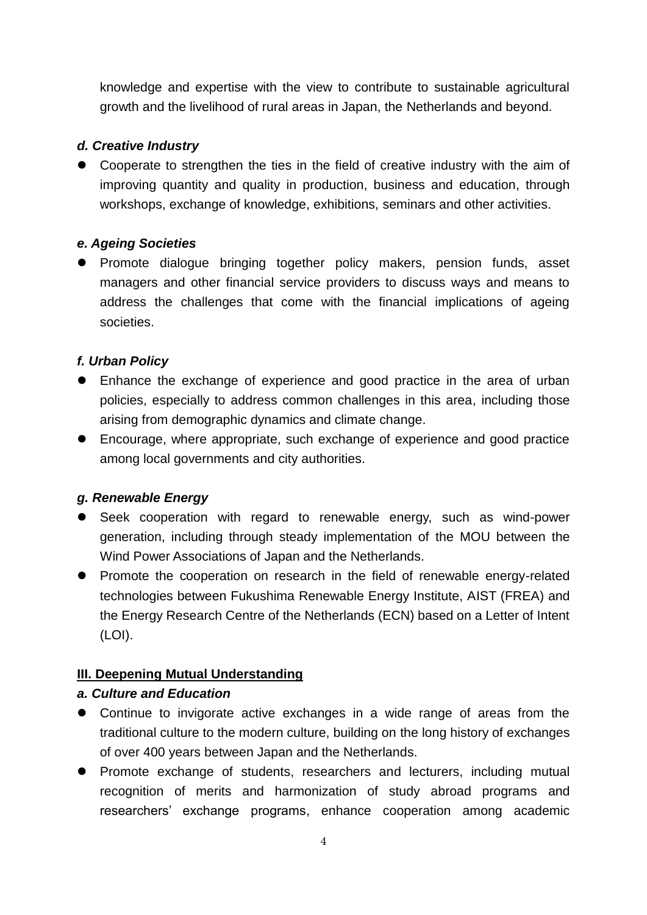knowledge and expertise with the view to contribute to sustainable agricultural growth and the livelihood of rural areas in Japan, the Netherlands and beyond.

#### *d. Creative Industry*

 Cooperate to strengthen the ties in the field of creative industry with the aim of improving quantity and quality in production, business and education, through workshops, exchange of knowledge, exhibitions, seminars and other activities.

#### *e. Ageing Societies*

**•** Promote dialogue bringing together policy makers, pension funds, asset managers and other financial service providers to discuss ways and means to address the challenges that come with the financial implications of ageing societies.

#### *f. Urban Policy*

- Enhance the exchange of experience and good practice in the area of urban policies, especially to address common challenges in this area, including those arising from demographic dynamics and climate change.
- Encourage, where appropriate, such exchange of experience and good practice among local governments and city authorities.

#### *g. Renewable Energy*

- Seek cooperation with regard to renewable energy, such as wind-power generation, including through steady implementation of the MOU between the Wind Power Associations of Japan and the Netherlands.
- Promote the cooperation on research in the field of renewable energy-related technologies between Fukushima Renewable Energy Institute, AIST (FREA) and the Energy Research Centre of the Netherlands (ECN) based on a Letter of Intent (LOI).

# **III. Deepening Mutual Understanding**

#### *a. Culture and Education*

- Continue to invigorate active exchanges in a wide range of areas from the traditional culture to the modern culture, building on the long history of exchanges of over 400 years between Japan and the Netherlands.
- Promote exchange of students, researchers and lecturers, including mutual recognition of merits and harmonization of study abroad programs and researchers' exchange programs, enhance cooperation among academic